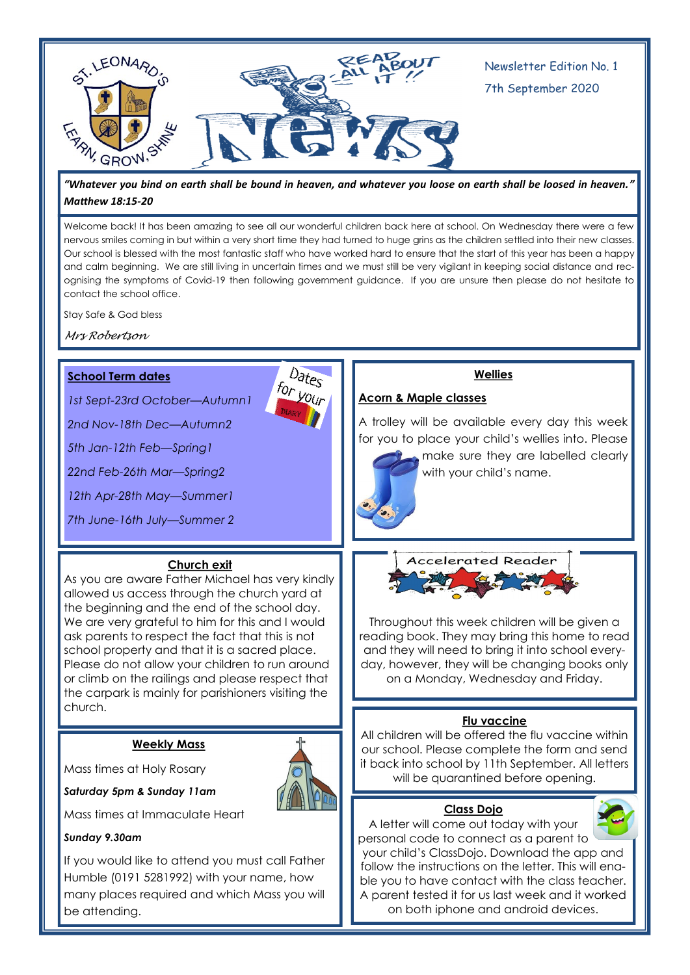

*"Whatever you bind on earth shall be bound in heaven, and whatever you loose on earth shall be loosed in heaven." Matthew 18:15-20* 

Welcome back! It has been amazing to see all our wonderful children back here at school. On Wednesday there were a few nervous smiles coming in but within a very short time they had turned to huge grins as the children settled into their new classes. Our school is blessed with the most fantastic staff who have worked hard to ensure that the start of this year has been a happy and calm beginning. We are still living in uncertain times and we must still be very vigilant in keeping social distance and recognising the symptoms of Covid-19 then following government guidance. If you are unsure then please do not hesitate to contact the school office.

**Wellies**

on both iphone and android devices.

Stay Safe & God bless

*Mrs Robertson*

be attending.

## **School Term dates**